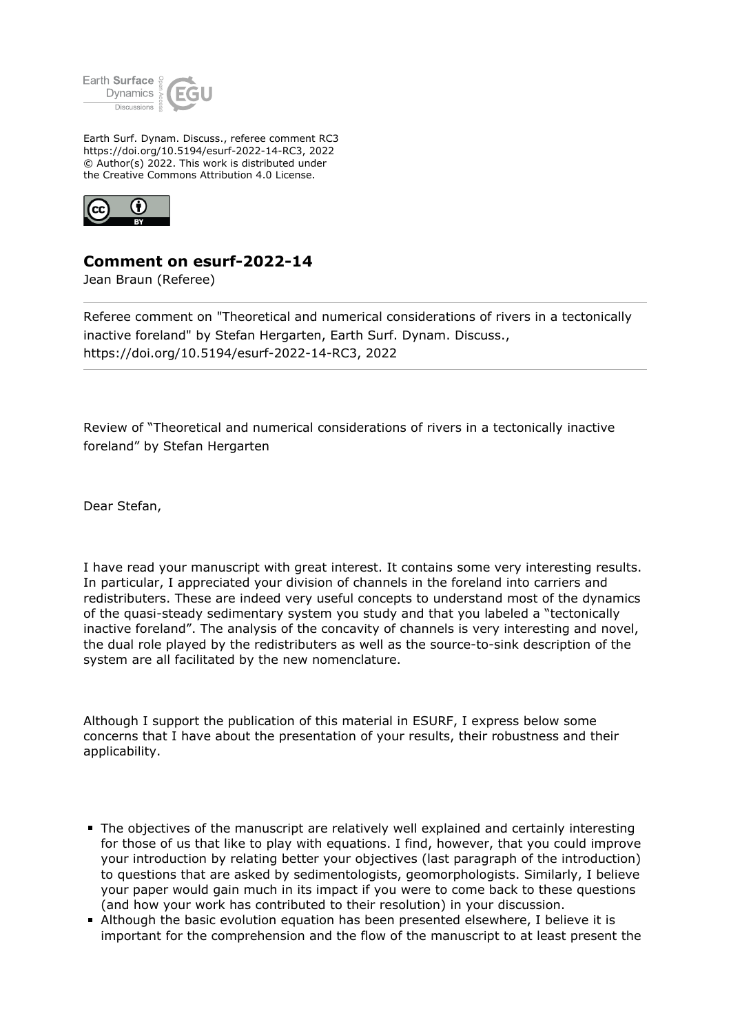

Earth Surf. Dynam. Discuss., referee comment RC3 https://doi.org/10.5194/esurf-2022-14-RC3, 2022 © Author(s) 2022. This work is distributed under the Creative Commons Attribution 4.0 License.



## **Comment on esurf-2022-14**

Jean Braun (Referee)

Referee comment on "Theoretical and numerical considerations of rivers in a tectonically inactive foreland" by Stefan Hergarten, Earth Surf. Dynam. Discuss., https://doi.org/10.5194/esurf-2022-14-RC3, 2022

Review of "Theoretical and numerical considerations of rivers in a tectonically inactive foreland" by Stefan Hergarten

Dear Stefan,

I have read your manuscript with great interest. It contains some very interesting results. In particular, I appreciated your division of channels in the foreland into carriers and redistributers. These are indeed very useful concepts to understand most of the dynamics of the quasi-steady sedimentary system you study and that you labeled a "tectonically inactive foreland". The analysis of the concavity of channels is very interesting and novel, the dual role played by the redistributers as well as the source-to-sink description of the system are all facilitated by the new nomenclature.

Although I support the publication of this material in ESURF, I express below some concerns that I have about the presentation of your results, their robustness and their applicability.

- The objectives of the manuscript are relatively well explained and certainly interesting for those of us that like to play with equations. I find, however, that you could improve your introduction by relating better your objectives (last paragraph of the introduction) to questions that are asked by sedimentologists, geomorphologists. Similarly, I believe your paper would gain much in its impact if you were to come back to these questions (and how your work has contributed to their resolution) in your discussion.
- Although the basic evolution equation has been presented elsewhere, I believe it is important for the comprehension and the flow of the manuscript to at least present the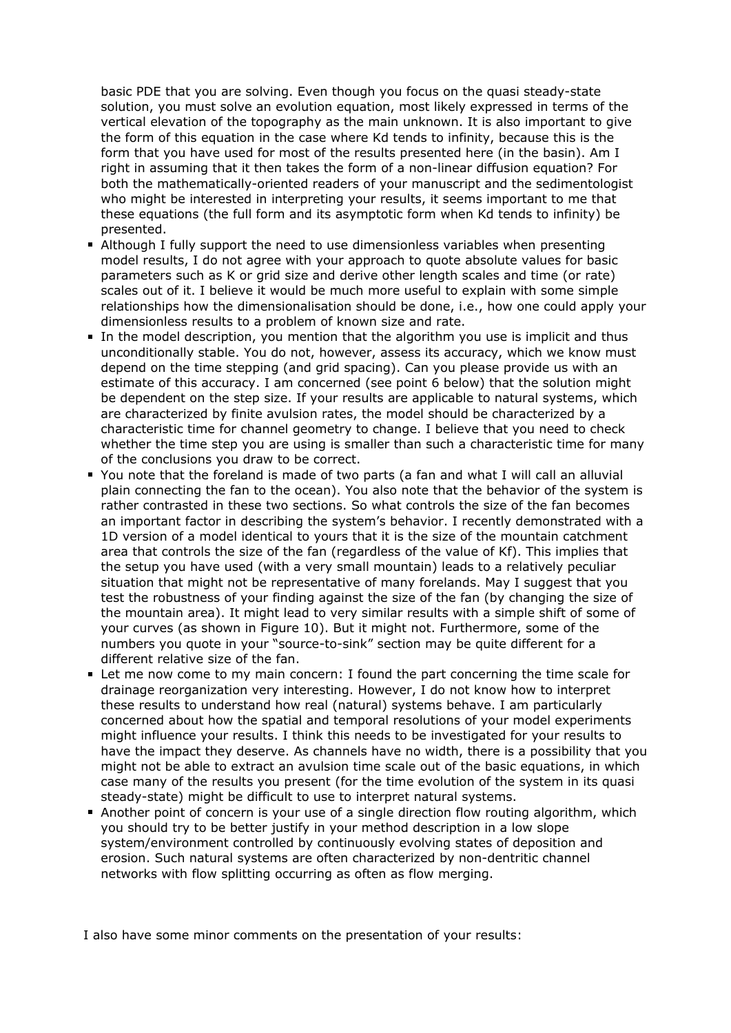basic PDE that you are solving. Even though you focus on the quasi steady-state solution, you must solve an evolution equation, most likely expressed in terms of the vertical elevation of the topography as the main unknown. It is also important to give the form of this equation in the case where Kd tends to infinity, because this is the form that you have used for most of the results presented here (in the basin). Am I right in assuming that it then takes the form of a non-linear diffusion equation? For both the mathematically-oriented readers of your manuscript and the sedimentologist who might be interested in interpreting your results, it seems important to me that these equations (the full form and its asymptotic form when Kd tends to infinity) be presented.

- Although I fully support the need to use dimensionless variables when presenting model results, I do not agree with your approach to quote absolute values for basic parameters such as K or grid size and derive other length scales and time (or rate) scales out of it. I believe it would be much more useful to explain with some simple relationships how the dimensionalisation should be done, i.e., how one could apply your dimensionless results to a problem of known size and rate.
- In the model description, you mention that the algorithm you use is implicit and thus unconditionally stable. You do not, however, assess its accuracy, which we know must depend on the time stepping (and grid spacing). Can you please provide us with an estimate of this accuracy. I am concerned (see point 6 below) that the solution might be dependent on the step size. If your results are applicable to natural systems, which are characterized by finite avulsion rates, the model should be characterized by a characteristic time for channel geometry to change. I believe that you need to check whether the time step you are using is smaller than such a characteristic time for many of the conclusions you draw to be correct.
- You note that the foreland is made of two parts (a fan and what I will call an alluvial plain connecting the fan to the ocean). You also note that the behavior of the system is rather contrasted in these two sections. So what controls the size of the fan becomes an important factor in describing the system's behavior. I recently demonstrated with a 1D version of a model identical to yours that it is the size of the mountain catchment area that controls the size of the fan (regardless of the value of Kf). This implies that the setup you have used (with a very small mountain) leads to a relatively peculiar situation that might not be representative of many forelands. May I suggest that you test the robustness of your finding against the size of the fan (by changing the size of the mountain area). It might lead to very similar results with a simple shift of some of your curves (as shown in Figure 10). But it might not. Furthermore, some of the numbers you quote in your "source-to-sink" section may be quite different for a different relative size of the fan.
- Let me now come to my main concern: I found the part concerning the time scale for drainage reorganization very interesting. However, I do not know how to interpret these results to understand how real (natural) systems behave. I am particularly concerned about how the spatial and temporal resolutions of your model experiments might influence your results. I think this needs to be investigated for your results to have the impact they deserve. As channels have no width, there is a possibility that you might not be able to extract an avulsion time scale out of the basic equations, in which case many of the results you present (for the time evolution of the system in its quasi steady-state) might be difficult to use to interpret natural systems.
- Another point of concern is your use of a single direction flow routing algorithm, which you should try to be better justify in your method description in a low slope system/environment controlled by continuously evolving states of deposition and erosion. Such natural systems are often characterized by non-dentritic channel networks with flow splitting occurring as often as flow merging.

I also have some minor comments on the presentation of your results: